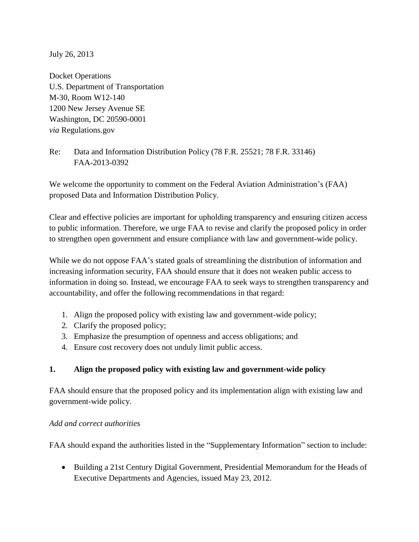July 26, 2013

Docket Operations U.S. Department of Transportation M-30, Room W12-140 1200 New Jersey Avenue SE Washington, DC 20590-0001 *via* Regulations.gov

Re: Data and Information Distribution Policy (78 F.R. 25521; 78 F.R. 33146) FAA-2013-0392

We welcome the opportunity to comment on the Federal Aviation Administration's (FAA) proposed Data and Information Distribution Policy.

Clear and effective policies are important for upholding transparency and ensuring citizen access to public information. Therefore, we urge FAA to revise and clarify the proposed policy in order to strengthen open government and ensure compliance with law and government-wide policy.

While we do not oppose FAA's stated goals of streamlining the distribution of information and increasing information security, FAA should ensure that it does not weaken public access to information in doing so. Instead, we encourage FAA to seek ways to strengthen transparency and accountability, and offer the following recommendations in that regard:

- 1. Align the proposed policy with existing law and government-wide policy;
- 2. Clarify the proposed policy;
- 3. Emphasize the presumption of openness and access obligations; and
- 4. Ensure cost recovery does not unduly limit public access.

## **1. Align the proposed policy with existing law and government-wide policy**

FAA should ensure that the proposed policy and its implementation align with existing law and government-wide policy.

#### *Add and correct authorities*

FAA should expand the authorities listed in the "Supplementary Information" section to include:

 Building a 21st Century Digital Government, Presidential Memorandum for the Heads of Executive Departments and Agencies, issued May 23, 2012.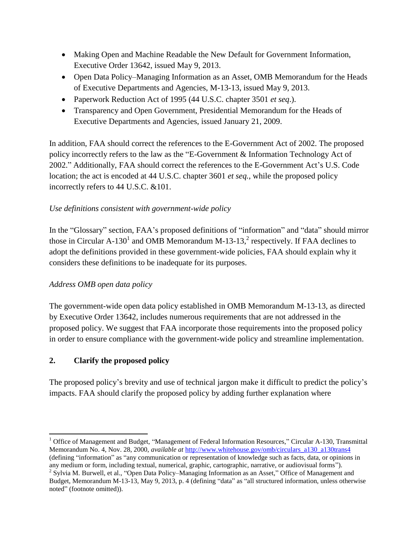- Making Open and Machine Readable the New Default for Government Information, Executive Order 13642, issued May 9, 2013.
- Open Data Policy–Managing Information as an Asset, OMB Memorandum for the Heads of Executive Departments and Agencies, M-13-13, issued May 9, 2013.
- Paperwork Reduction Act of 1995 (44 U.S.C. chapter 3501 *et seq*.).
- Transparency and Open Government, Presidential Memorandum for the Heads of Executive Departments and Agencies, issued January 21, 2009.

In addition, FAA should correct the references to the E-Government Act of 2002. The proposed policy incorrectly refers to the law as the "E-Government & Information Technology Act of 2002." Additionally, FAA should correct the references to the E-Government Act's U.S. Code location; the act is encoded at 44 U.S.C. chapter 3601 *et seq.*, while the proposed policy incorrectly refers to 44 U.S.C. &101.

# *Use definitions consistent with government-wide policy*

In the "Glossary" section, FAA's proposed definitions of "information" and "data" should mirror those in Circular A-130<sup>1</sup> and OMB Memorandum M-13-13,<sup>2</sup> respectively. If FAA declines to adopt the definitions provided in these government-wide policies, FAA should explain why it considers these definitions to be inadequate for its purposes.

# *Address OMB open data policy*

The government-wide open data policy established in OMB Memorandum M-13-13, as directed by Executive Order 13642, includes numerous requirements that are not addressed in the proposed policy. We suggest that FAA incorporate those requirements into the proposed policy in order to ensure compliance with the government-wide policy and streamline implementation.

# **2. Clarify the proposed policy**

The proposed policy's brevity and use of technical jargon make it difficult to predict the policy's impacts. FAA should clarify the proposed policy by adding further explanation where

 $\overline{\phantom{a}}$ <sup>1</sup> Office of Management and Budget, "Management of Federal Information Resources," Circular A-130, Transmittal Memorandum No. 4, Nov. 28, 2000, *available at* [http://www.whitehouse.gov/omb/circulars\\_a130\\_a130trans4](http://www.whitehouse.gov/omb/circulars_a130_a130trans4) (defining "information" as "any communication or representation of knowledge such as facts, data, or opinions in

any medium or form, including textual, numerical, graphic, cartographic, narrative, or audiovisual forms").  $2^{2}$  Sylvia M. Burwell, et al., "Open Data Policy–Managing Information as an Asset," Office of Management and Budget, Memorandum M-13-13, May 9, 2013, p. 4 (defining "data" as "all structured information, unless otherwise noted" (footnote omitted)).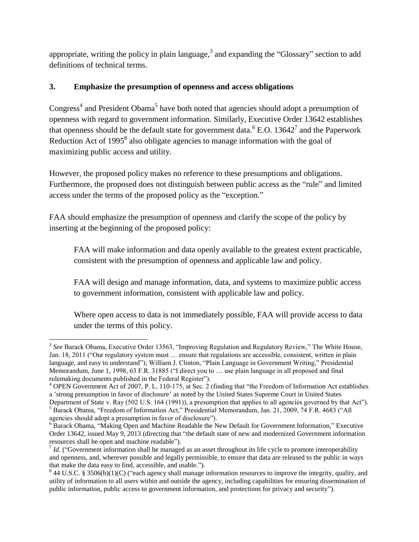appropriate, writing the policy in plain language,<sup>3</sup> and expanding the "Glossary" section to add definitions of technical terms.

## **3. Emphasize the presumption of openness and access obligations**

Congress<sup>4</sup> and President Obama<sup>5</sup> have both noted that agencies should adopt a presumption of openness with regard to government information. Similarly, Executive Order 13642 establishes that openness should be the default state for government data.<sup>6</sup> E.O. 13642<sup>7</sup> and the Paperwork Reduction Act of 1995 $^8$  also obligate agencies to manage information with the goal of maximizing public access and utility.

However, the proposed policy makes no reference to these presumptions and obligations. Furthermore, the proposed does not distinguish between public access as the "rule" and limited access under the terms of the proposed policy as the "exception."

FAA should emphasize the presumption of openness and clarify the scope of the policy by inserting at the beginning of the proposed policy:

FAA will make information and data openly available to the greatest extent practicable, consistent with the presumption of openness and applicable law and policy.

FAA will design and manage information, data, and systems to maximize public access to government information, consistent with applicable law and policy.

Where open access to data is not immediately possible, FAA will provide access to data under the terms of this policy.

 $\overline{\phantom{a}}$ <sup>3</sup> See Barack Obama, Executive Order 13563, "Improving Regulation and Regulatory Review," The White House, Jan. 18, 2011 ("Our regulatory system must … ensure that regulations are accessible, consistent, written in plain language, and easy to understand"); William J. Clinton, "Plain Language in Government Writing," Presidential Memorandum, June 1, 1998, 63 F.R. 31885 ("I direct you to … use plain language in all proposed and final rulemaking documents published in the Federal Register").

<sup>&</sup>lt;sup>4</sup> OPEN Government Act of 2007, P. L. 110-175, at Sec. 2 (finding that "the Freedom of Information Act establishes a 'strong presumption in favor of disclosure' as noted by the United States Supreme Court in United States

Department of State v. Ray (502 U.S. 164 (1991)), a presumption that applies to all agencies governed by that Act"). <sup>5</sup> Barack Obama, "Freedom of Information Act," Presidential Memorandum, Jan. 21, 2009, 74 F.R. 4683 ("All agencies should adopt a presumption in favor of disclosure").

<sup>&</sup>lt;sup>6</sup> Barack Obama, "Making Open and Machine Readable the New Default for Government Information," Executive Order 13642, issued May 9, 2013 (directing that "the default state of new and modernized Government information resources shall be open and machine readable").

 $<sup>7</sup>$  *Id.* ("Government information shall be managed as an asset throughout its life cycle to promote interoperability</sup> and openness, and, wherever possible and legally permissible, to ensure that data are released to the public in ways that make the data easy to find, accessible, and usable.").

 $844$  U.S.C. § 3506(b)(1)(C) ("each agency shall manage information resources to improve the integrity, quality, and utility of information to all users within and outside the agency, including capabilities for ensuring dissemination of public information, public access to government information, and protections for privacy and security").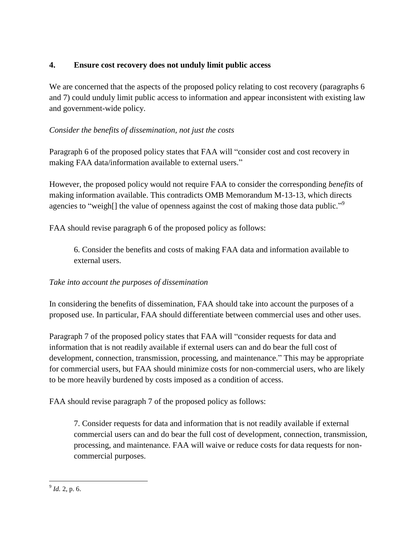## **4. Ensure cost recovery does not unduly limit public access**

We are concerned that the aspects of the proposed policy relating to cost recovery (paragraphs 6 and 7) could unduly limit public access to information and appear inconsistent with existing law and government-wide policy.

## *Consider the benefits of dissemination, not just the costs*

Paragraph 6 of the proposed policy states that FAA will "consider cost and cost recovery in making FAA data/information available to external users."

However, the proposed policy would not require FAA to consider the corresponding *benefits* of making information available. This contradicts OMB Memorandum M-13-13, which directs agencies to "weigh<sup>[]</sup> the value of openness against the cost of making those data public."<sup>9</sup>

FAA should revise paragraph 6 of the proposed policy as follows:

6. Consider the benefits and costs of making FAA data and information available to external users.

## *Take into account the purposes of dissemination*

In considering the benefits of dissemination, FAA should take into account the purposes of a proposed use. In particular, FAA should differentiate between commercial uses and other uses.

Paragraph 7 of the proposed policy states that FAA will "consider requests for data and information that is not readily available if external users can and do bear the full cost of development, connection, transmission, processing, and maintenance." This may be appropriate for commercial users, but FAA should minimize costs for non-commercial users, who are likely to be more heavily burdened by costs imposed as a condition of access.

FAA should revise paragraph 7 of the proposed policy as follows:

7. Consider requests for data and information that is not readily available if external commercial users can and do bear the full cost of development, connection, transmission, processing, and maintenance. FAA will waive or reduce costs for data requests for noncommercial purposes.

 $\frac{9}{9}$  *Id.* 2, p. 6.